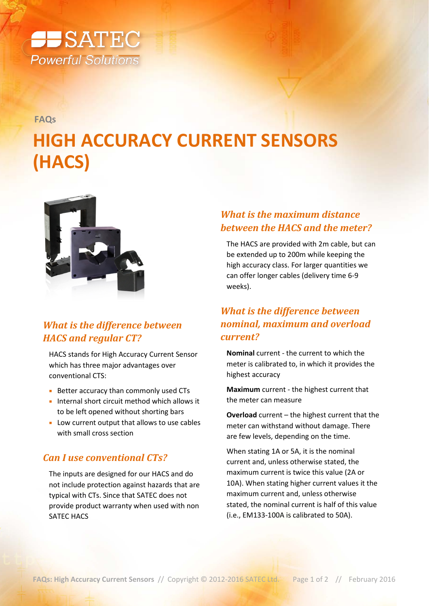

**FAQs**

# **HIGH ACCURACY CURRENT SENSORS (HACS)**



# *What is the difference between HACS and regular CT?*

HACS stands for High Accuracy Current Sensor which has three major advantages over conventional CTS:

- **Better accuracy than commonly used CTs**
- **Internal short circuit method which allows it** to be left opened without shorting bars
- **Low current output that allows to use cables** with small cross section

#### *Can I use conventional CTs?*

The inputs are designed for our HACS and do not include protection against hazards that are typical with CTs. Since that SATEC does not provide product warranty when used with non SATEC HACS

## *What is the maximum distance between the HACS and the meter?*

The HACS are provided with 2m cable, but can be extended up to 200m while keeping the high accuracy class. For larger quantities we can offer longer cables (delivery time 6-9 weeks).

## *What is the difference between nominal, maximum and overload current?*

**Nominal** current - the current to which the meter is calibrated to, in which it provides the highest accuracy

**Maximum** current - the highest current that the meter can measure

**Overload** current – the highest current that the meter can withstand without damage. There are few levels, depending on the time.

When stating 1A or 5A, it is the nominal current and, unless otherwise stated, the maximum current is twice this value (2A or 10A). When stating higher current values it the maximum current and, unless otherwise stated, the nominal current is half of this value (i.e., EM133-100A is calibrated to 50A).